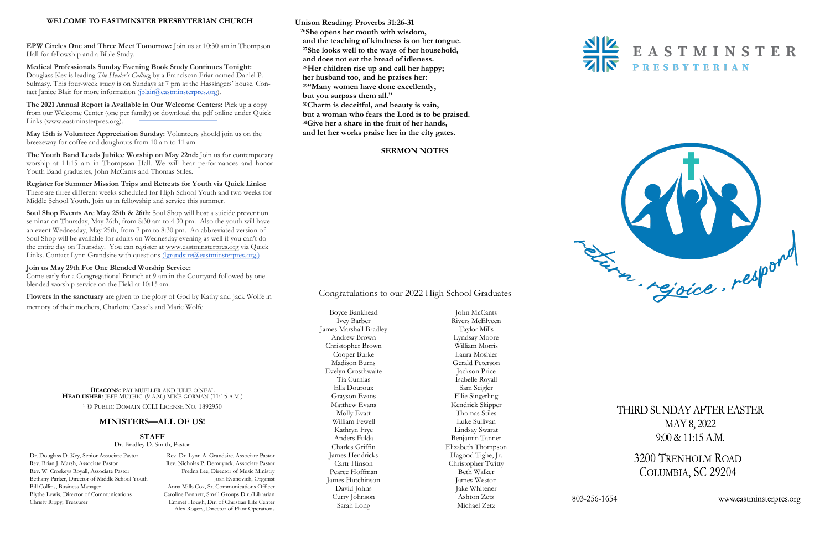**Unison Reading: Proverbs 31:26-31 <sup>26</sup>She opens her mouth with wisdom, and the teaching of kindness is on her tongue. <sup>27</sup>She looks well to the ways of her household, and does not eat the bread of idleness. <sup>28</sup>Her children rise up and call her happy; her husband too, and he praises her: <sup>29</sup>"Many women have done excellently, but you surpass them all." <sup>30</sup>Charm is deceitful, and beauty is vain, but a woman who fears the Lord is to be praised. <sup>31</sup>Give her a share in the fruit of her hands, and let her works praise her in the city gates.**

**Medical Professionals Sunday Evening Book Study Continues Tonight:**  Douglass Key is leading *The Healer's Callin*g by a Franciscan Friar named Daniel P. Sulmasy. This four-week study is on Sundays at 7 pm at the Hassingers' house. Contact Janice Blair for more information ([jblair@eastminsterpres.org\).](mailto:jblair@eastminsterpres.org)

### **SERMON NOTES**



#### **WELCOME TO EASTMINSTER PRESBYTERIAN CHURCH**

**EPW Circles One and Three Meet Tomorrow:** Join us at 10:30 am in Thompson Hall for fellowship and a Bible Study.

**Soul Shop Events Are May 25th & 26th**: Soul Shop will host a suicide prevention seminar on Thursday, May 26th, from 8:30 am to 4:30 pm. Also the youth will have an event Wednesday, May 25th, from 7 pm to 8:30 pm. An abbreviated version of Soul Shop will be available for adults on Wednesday evening as well if you can't do the entire day on Thursday. You can register at [www.eastminsterpres.org](http://www.eastminsterpres.org) via Quick Links. Contact Lynn Grandsire with questions (lgrandsire@eastminsterpres.org.)

**The 2021 Annual Report is Available in Our Welcome Centers:** Pick up a copy from our Welcome Center (one per family) or download the pdf online under Quick Links (www.eastminsterpres.org).

**May 15th is Volunteer Appreciation Sunday:** Volunteers should join us on the breezeway for coffee and doughnuts from 10 am to 11 am.

**The Youth Band Leads Jubilee Worship on May 22nd:** Join us for contemporary worship at 11:15 am in Thompson Hall. We will hear performances and honor Youth Band graduates, John McCants and Thomas Stiles.

**Register for Summer Mission Trips and Retreats for Youth via Quick Links:**  There are three different weeks scheduled for High School Youth and two weeks for Middle School Youth. Join us in fellowship and service this summer.

#### **Join us May 29th For One Blended Worship Service:**

Come early for a Congregational Brunch at 9 a[m in the Courtyard followed by one](mailto:lgrandsire@eastminsterpres.org) blended worship service on the Field at 10:15 am.

**Flowers in the sanctuary** are given to the glory of God by Kathy and Jack Wolfe in memory of their mothers, Charlotte Cassels and Marie Wolfe.

> **DEACONS:** PAT MUELLER AND JULIE O'NEAL **HEAD USHER**: JEFF MUTHIG (9 A.M.) MIKE GORMAN (11:15 A.M.)

<sup>1</sup> © PUBLIC DOMAIN CCLI LICENSE NO. 1892950

## **MINISTERS—ALL OF US!**

#### **STAFF**

Dr. Bradley D. Smith, Pastor

Dr. Douglass D. Key, Senior Associate Pastor Rev. Dr. Lynn A. Grandsire, Associate Pastor Alex Rogers, Director of Plant Operations

Rev. Brian J. Marsh, Associate Pastor Rev. Nicholas P. Demuynck, Associate Pastor Rev. W. Croskeys Royall, Associate Pastor Fredna Lee, Director of Music Ministry Bethany Parker, Director of Middle School Youth Josh Evanovich, Organist Bill Collins, Business Manager Anna Mills Cox, Sr. Communications Officer Blythe Lewis, Director of Communications Caroline Bennett, Small Groups Dir./Librarian Christy Rippy, Treasurer Emmet Hough, Dir. of Christian Life Center

Boyce Bankhead Ivey Barber James Marshall Bradley Andrew Brown Christopher Brown Cooper Burke Madison Burns Evelyn Crosthwaite Tia Curnias Ella Douroux Grayson Evans Matthew Evans Molly Evatt William Fewell Kathryn Frye Anders Fulda Charles Griffin James Hendricks Cartr Hinson Pearce Hoffman James Hutchinson David Johns Curry Johnson Sarah Long

John McCants Rivers McElveen Taylor Mills Lyndsay Moore William Morris Laura Moshier Gerald Peterson Jackson Price Isabelle Royall Sam Seigler Ellie Singerling Kendrick Skipper Thomas Stiles Luke Sullivan Lindsay Swarat Benjamin Tanner Elizabeth Thompson Hagood Tighe, Jr. Christopher Twitty Beth Walker James Weston Jake Whitener Ashton Zetz Michael Zetz







THIRD SUNDAY AFTER EASTER MAY 8, 2022  $9:00 \& 11:15 A.M.$ 

> 3200 TRENHOLM ROAD COLUMBIA, SC 29204

> > www.eastminsterpres.org

Congratulations to our 2022 High School Graduates